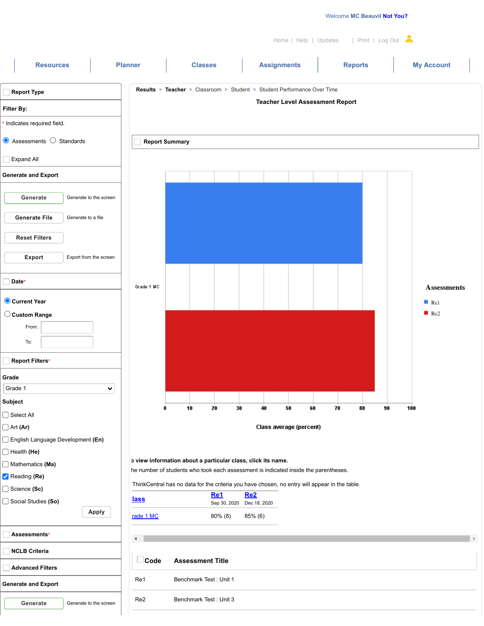